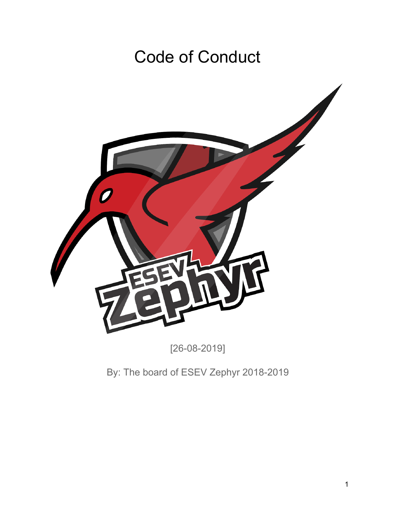## Code of Conduct



[26-08-2019]

By: The board of ESEV Zephyr 2018-2019